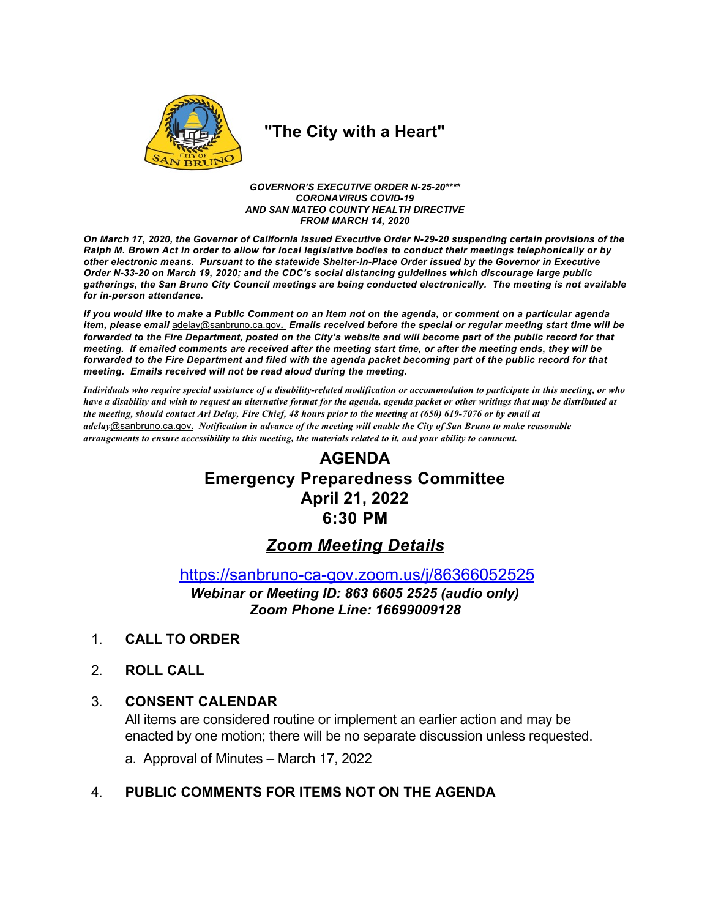

# "The City with a Heart"

**GOVERNOR'S EXECUTIVE ORDER N-25-20\*\*\*\* CORONAVIRUS COVID-19** AND SAN MATEO COUNTY HEALTH DIRECTIVE **FROM MARCH 14, 2020** 

On March 17, 2020, the Governor of California issued Executive Order N-29-20 suspending certain provisions of the Ralph M. Brown Act in order to allow for local legislative bodies to conduct their meetings telephonically or by other electronic means. Pursuant to the statewide Shelter-In-Place Order issued by the Governor in Executive Order N-33-20 on March 19, 2020; and the CDC's social distancing guidelines which discourage large public gatherings, the San Bruno City Council meetings are being conducted electronically. The meeting is not available for in-person attendance.

If you would like to make a Public Comment on an item not on the agenda, or comment on a particular agenda item, please email adelay@sanbruno.ca.gov. Emails received before the special or regular meeting start time will be forwarded to the Fire Department, posted on the City's website and will become part of the public record for that meeting. If emailed comments are received after the meeting start time, or after the meeting ends, they will be forwarded to the Fire Department and filed with the agenda packet becoming part of the public record for that meeting. Emails received will not be read aloud during the meeting.

Individuals who require special assistance of a disability-related modification or accommodation to participate in this meeting, or who have a disability and wish to request an alternative format for the agenda, agenda packet or other writings that may be distributed at the meeting, should contact Ari Delay, Fire Chief, 48 hours prior to the meeting at (650) 619-7076 or by email at adelay@sanbruno.ca.gov. Notification in advance of the meeting will enable the City of San Bruno to make reasonable arrangements to ensure accessibility to this meeting, the materials related to it, and your ability to comment.

# **AGENDA Emergency Preparedness Committee April 21, 2022** 6:30 PM

# **Zoom Meeting Details**

https://sanbruno-ca-gov.zoom.us/j/86366052525

Webinar or Meeting ID: 863 6605 2525 (audio only) Zoom Phone Line: 16699009128

- $1<sub>1</sub>$ **CALL TO ORDER**
- $2<sup>1</sup>$ **ROLL CALL**

#### $3_{-}$ **CONSENT CALENDAR**

All items are considered routine or implement an earlier action and may be enacted by one motion; there will be no separate discussion unless requested.

a. Approval of Minutes - March 17, 2022

## PUBLIC COMMENTS FOR ITEMS NOT ON THE AGENDA  $\mathbf{4}$